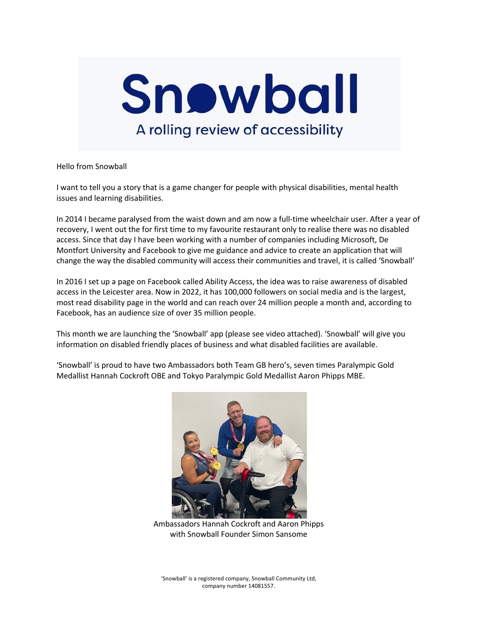

Hello from Snowball

I want to tell you a story that is a game changer for people with physical disabilities, mental health issues and learning disabilities.

In 2014 I became paralysed from the waist down and am now a full-time wheelchair user. After a year of recovery, I went out the for first time to my favourite restaurant only to realise there was no disabled access. Since that day I have been working with a number of companies including Microsoft, De Montfort University and Facebook to give me guidance and advice to create an application that will change the way the disabled community will access their communities and travel, it is called 'Snowball'

In 2016 I set up a page on Facebook called Ability Access, the idea was to raise awareness of disabled access in the Leicester area. Now in 2022, it has 100,000 followers on social media and is the largest, most read disability page in the world and can reach over 24 million people a month and, according to Facebook, has an audience size of over 35 million people.

This month we are launching the 'Snowball' app (please see video attached). 'Snowball' will give you information on disabled friendly places of business and what disabled facilities are available.

'Snowball' is proud to have two Ambassadors both Team GB hero's, seven times Paralympic Gold Medallist Hannah Cockroft OBE and Tokyo Paralympic Gold Medallist Aaron Phipps MBE.



Ambassadors Hannah Cockroft and Aaron Phipps with Snowball Founder Simon Sansome